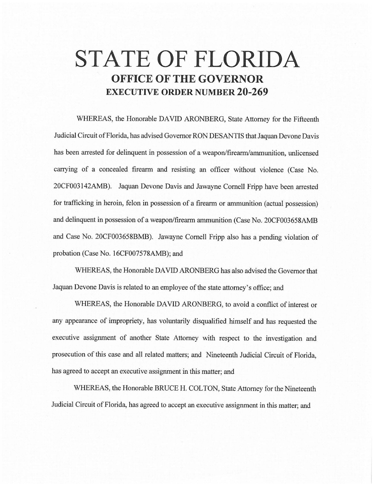## **STATE OF FLORIDA OFFICE OF THE GOVERNOR EXECUTIVE ORDER NUMBER 20-269**

WHEREAS, the Honorable DAVID ARONBERG, State Attorney for the Fifteenth Judicial Circuit of Florida, has advised Governor RON DESANTIS that Jaquan Devone Davis has been arrested for delinquent in possession of a weapon/firearm/ammunition, unlicensed carrying of a concealed firearm and resisting an officer without violence (Case No. 20CF003142AMB). Jaquan Devone Davis and Jawayne Cornell Fripp have been arrested for trafficking in heroin, felon in possession of a firearm or ammunition (actual possession) and delinquent in possession of a weapon/firearm ammunition (Case No. 20CF003658AMB and Case No. 20CF003658BMB). Jawayne Cornell Fripp also has a pending violation of probation (Case No. 16CF007578AMB); and

WHEREAS, the Honorable DAVID ARONBERG has also advised the Governor that Jaquan Devone Davis is related to an employee of the state attorney's office; and

WHEREAS, the Honorable DAVID ARONBERG, to avoid a conflict of interest or any appearance of impropriety, has voluntarily disqualified himself and has requested the executive assignment of another State Attorney with respect to the investigation and prosecution of this case and all related matters; and Nineteenth Judicial Circuit of Florida, has agreed to accept an executive assignment in this matter; and

WHEREAS, the Honorable BRUCE H. COLTON, State Attorney for the Nineteenth Judicial Circuit of Florida, has agreed to accept an executive assignment in this matter; and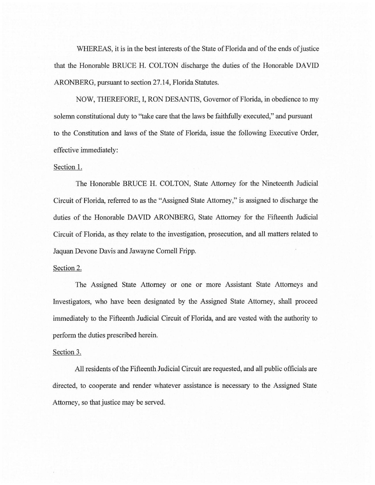WHEREAS, it is in the best interests of the State of Florida and of the ends of justice that the Honorable BRUCE H. COLTON discharge the duties of the Honorable DAVID ARONBERG, pursuant to section 27.14, Florida Statutes.

NOW, THEREFORE, I, RON DESANTIS, Governor of Florida, in obedience to my solemn constitutional duty to ''take care that the laws be faithfully executed," and pursuant to the Constitution and laws of the State of Florida, issue the following Executive Order, effective immediately:

## Section 1.

The Honorable BRUCE H. COLTON, State Attorney for the Nineteenth Judicial Circuit of Florida, referred to as the "Assigned State Attorney," is assigned to discharge the duties of the Honorable DAVID ARONBERG, State Attorney for the Fifteenth Judicial Circuit of Florida, as they relate to the investigation, prosecution, and all matters related to Jaquan Devone Davis and Jawayne Cornell Fripp.

## Section 2.

The Assigned State Attorney or one or more Assistant State Attorneys and Investigators, who have been designated by the Assigned State Attorney, shall proceed immediately to the Fifteenth Judicial Circuit of Florida, and are vested with the authority to perform the duties prescribed herein.

## Section 3.

All residents of the Fifteenth Judicial Circuit are requested, and all public officials are directed, to cooperate and render whatever assistance is necessary to the Assigned State Attorney, so that justice may be served.